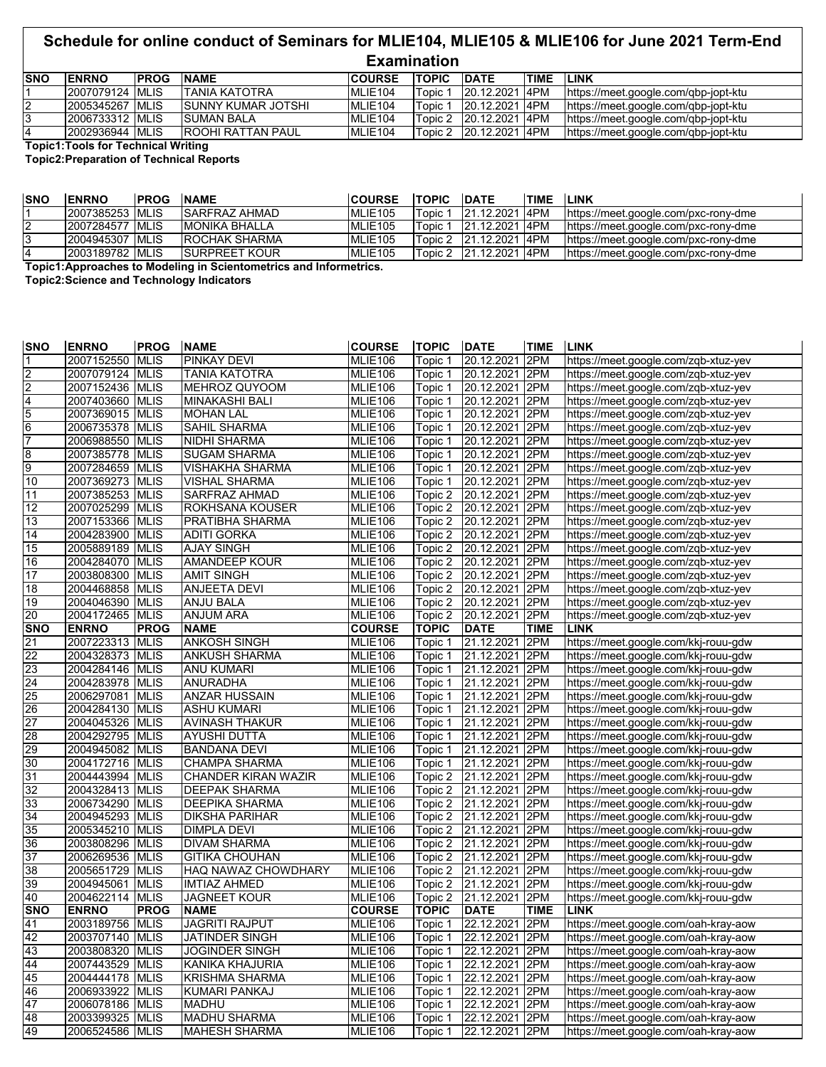## **Schedule for online conduct of Seminars for MLIE104, MLIE105 & MLIE106 for June 2021 Term-End Examination**

| <b>SNO</b> | <b>IENRNO</b>     | <b>IPROG</b> | <b>INAME</b>               | <b>ICOURSE</b>      | <b>TOPIC</b> | <b>IDATE</b>   | <b>TIME</b> | <b>LINK</b>                          |
|------------|-------------------|--------------|----------------------------|---------------------|--------------|----------------|-------------|--------------------------------------|
|            | 12007079124 IMLIS |              | ITANIA KATOTRA             | MLIE104             | Topic 1      | 20.12.2021 4PM |             | https://meet.google.com/qbp-jopt-ktu |
| 2          | 2005345267 MLIS   |              | <b>ISUNNY KUMAR JOTSHI</b> | MLIE104             | Topic 1      | 20.12.2021 4PM |             | https://meet.google.com/gbp-jopt-ktu |
|            | 2006733312 MLIS   |              | <b>SUMAN BALA</b>          | MLIE <sub>104</sub> | Topic 2      | 20.12.2021 4PM |             | https://meet.google.com/gbp-jopt-ktu |
|            | 2002936944 MLIS   |              | IROOHI RATTAN PAUL         | MLIE <sub>104</sub> | Topic 2      | 20.12.2021 4PM |             | https://meet.google.com/gbp-jopt-ktu |

**Topic1:Tools for Technical Writing**

**Topic2:Preparation of Technical Reports**

| <b>SNO</b>                                                       | <b>IENRNO</b>    | <b>IPROG</b> | <b>NAME</b>           | <b>COURSE</b> | <b>TOPIC</b> | <b>DATE</b>            | <b>TIME</b> | <b>LINK</b>                          |
|------------------------------------------------------------------|------------------|--------------|-----------------------|---------------|--------------|------------------------|-------------|--------------------------------------|
|                                                                  | 2007385253 IMLIS |              | <b>ISARFRAZ AHMAD</b> | MLIE105       | Topic 1      | 21.12.2021 I4PM        |             | https://meet.google.com/pxc-rony-dme |
| $\epsilon$                                                       | 2007284577 MLIS  |              | <b>IMONIKA BHALLA</b> | MLIE105       | Topic 1      | 21.12.2021 I4PM        |             | https://meet.google.com/pxc-rony-dme |
|                                                                  | 2004945307 MLIS  |              | <b>IROCHAK SHARMA</b> | MLIE105       |              | Topic 2 21.12.2021 4PM |             | https://meet.google.com/pxc-rony-dme |
|                                                                  | 2003189782 MLIS  |              | <b>ISURPREET KOUR</b> | MLIE105       |              | Topic 2 21.12.2021 4PM |             | https://meet.google.com/pxc-rony-dme |
| Topic1:Approaches to Modeling in Scientemetrics and Informatrics |                  |              |                       |               |              |                        |             |                                      |

**Topic1:Approaches to Modeling in Scientometrics and Informetrics.**

**Topic2:Science and Technology Indicators**

| <b>SNO</b>                                                        | <b>ENRNO</b>    | <b>PROG</b> | <b>NAME</b>           | <b>COURSE</b>  | <b>TOPIC</b>         | <b>DATE</b>    | <b>TIME</b> | <b>LINK</b>                          |
|-------------------------------------------------------------------|-----------------|-------------|-----------------------|----------------|----------------------|----------------|-------------|--------------------------------------|
| $\overline{1}$                                                    | 2007152550      | <b>MLIS</b> | PINKAY DEVI           | <b>MLIE106</b> | Topic 1              | 20.12.2021     | 2PM         | https://meet.google.com/zqb-xtuz-yev |
|                                                                   | 2007079124      | <b>MLIS</b> | TANIA KATOTRA         | <b>MLIE106</b> | Topic 1              | 20.12.2021     | 2PM         | https://meet.google.com/zqb-xtuz-yev |
|                                                                   | 2007152436      | <b>MLIS</b> | MEHROZ QUYOOM         | <b>MLIE106</b> | Topic 1              | 20.12.2021     | 2PM         | https://meet.google.com/zqb-xtuz-yev |
|                                                                   | 2007403660      | <b>MLIS</b> | <b>MINAKASHI BALI</b> | MLIE106        | Topic 1              | 20.12.2021     | 2PM         | https://meet.google.com/zqb-xtuz-yev |
| $\frac{2}{2}$ $\frac{2}{4}$ $\frac{4}{5}$ $\frac{6}{7}$           | 2007369015      | <b>MLIS</b> | <b>MOHAN LAL</b>      | MLIE106        | Topic 1              | 20.12.2021     | 2PM         | https://meet.google.com/zqb-xtuz-yev |
|                                                                   | 2006735378      | <b>MLIS</b> | SAHIL SHARMA          | MLIE106        | Topic 1              | 20.12.2021     | 2PM         | https://meet.google.com/zqb-xtuz-yev |
|                                                                   | 2006988550      | <b>MLIS</b> | NIDHI SHARMA          | <b>MLIE106</b> | Topic 1              | 20.12.2021     | 2PM         | https://meet.google.com/zqb-xtuz-yev |
|                                                                   | 2007385778      | <b>MLIS</b> | <b>SUGAM SHARMA</b>   | MLIE106        | Topic 1              | 20.12.2021     | 2PM         | https://meet.google.com/zqb-xtuz-yev |
|                                                                   | 2007284659      | <b>MLIS</b> | VISHAKHA SHARMA       | <b>MLIE106</b> | Topic 1              | 20.12.2021     | 2PM         | https://meet.google.com/zqb-xtuz-yev |
| $\begin{array}{c}\n 8 \\ \hline\n 9 \\ \hline\n 10\n \end{array}$ | 2007369273      | <b>MLIS</b> | <b>VISHAL SHARMA</b>  | <b>MLIE106</b> | Topic 1              | 20.12.2021     | 2PM         | https://meet.google.com/zqb-xtuz-yev |
| 11                                                                | 2007385253      | <b>MLIS</b> | SARFRAZ AHMAD         | <b>MLIE106</b> | Topic 2              | 20.12.2021     | 2PM         | https://meet.google.com/zqb-xtuz-yev |
| 12                                                                | 2007025299      | <b>MLIS</b> | ROKHSANA KOUSER       | MLIE106        | Topic 2              | 20.12.2021     | 2PM         | https://meet.google.com/zqb-xtuz-yev |
| 13                                                                | 2007153366      | <b>MLIS</b> | PRATIBHA SHARMA       | MLIE106        | Topic 2              | 20.12.2021     | 2PM         | https://meet.google.com/zqb-xtuz-yev |
| 14                                                                | 2004283900      | <b>MLIS</b> | <b>ADITI GORKA</b>    | <b>MLIE106</b> | Topic 2              | 20.12.2021     | 2PM         | https://meet.google.com/zqb-xtuz-yev |
| 15                                                                | 2005889189      | <b>MLIS</b> | <b>AJAY SINGH</b>     | <b>MLIE106</b> | Topic 2              | 20.12.2021     | 2PM         | https://meet.google.com/zqb-xtuz-yev |
| 16                                                                | 2004284070      | <b>MLIS</b> | <b>AMANDEEP KOUR</b>  | <b>MLIE106</b> | Topic 2              | 20.12.2021     | 2PM         | https://meet.google.com/zqb-xtuz-yev |
| 17                                                                | 2003808300      | <b>MLIS</b> | <b>AMIT SINGH</b>     | <b>MLIE106</b> | Topic 2              | 20.12.2021     | 2PM         | https://meet.google.com/zqb-xtuz-yev |
| 18                                                                | 2004468858      | <b>MLIS</b> | <b>ANJEETA DEVI</b>   | <b>MLIE106</b> | Topic 2              | 20.12.2021     | 2PM         | https://meet.google.com/zqb-xtuz-yev |
| 19                                                                | 2004046390      | <b>MLIS</b> | ANJU BALA             | MLIE106        | Topic 2              | 20.12.2021     | 2PM         | https://meet.google.com/zqb-xtuz-yev |
| 20                                                                | 2004172465      | <b>MLIS</b> | <b>ANJUM ARA</b>      | MLIE106        | Topic 2              | 20.12.2021     | 2PM         | https://meet.google.com/zqb-xtuz-yev |
| <b>SNO</b>                                                        | <b>ENRNO</b>    | <b>PROG</b> | <b>NAME</b>           | <b>COURSE</b>  | <b>TOPIC</b>         | <b>DATE</b>    | <b>TIME</b> | <b>LINK</b>                          |
|                                                                   | 2007223313      | <b>MLIS</b> | <b>ANKOSH SINGH</b>   | MLIE106        | Topic 1              | 21.12.2021     | 2PM         | https://meet.google.com/kkj-rouu-gdw |
| $\frac{21}{22}$                                                   | 2004328373      | <b>MLIS</b> | <b>ANKUSH SHARMA</b>  | <b>MLIE106</b> | Topic 1              | 21.12.2021     | 2PM         | https://meet.google.com/kkj-rouu-gdw |
| 23                                                                | 2004284146      | <b>MLIS</b> | <b>ANU KUMARI</b>     | <b>MLIE106</b> | Topic 1              | 21.12.2021     | 2PM         | https://meet.google.com/kkj-rouu-gdw |
| 24                                                                | 2004283978      | <b>MLIS</b> | <b>ANURADHA</b>       | <b>MLIE106</b> | Topic 1              | 21.12.2021     | 2PM         | https://meet.google.com/kkj-rouu-gdw |
| 25                                                                | 2006297081      | <b>MLIS</b> | <b>ANZAR HUSSAIN</b>  | MLIE106        | Topic 1              | 21.12.2021     | 2PM         | https://meet.google.com/kkj-rouu-gdw |
| 26                                                                | 2004284130      | <b>MLIS</b> | <b>ASHU KUMARI</b>    | MLIE106        | Topic 1              | 21.12.2021     | 2PM         | https://meet.google.com/kkj-rouu-gdw |
|                                                                   | 2004045326      | <b>MLIS</b> | <b>AVINASH THAKUR</b> | <b>MLIE106</b> | Topic 1              | 21.12.2021     | 2PM         | https://meet.google.com/kkj-rouu-gdw |
| $\frac{27}{28}$                                                   | 2004292795      | <b>MLIS</b> | <b>AYUSHI DUTTA</b>   | MLIE106        | Topic 1              | 21.12.2021     | 2PM         | https://meet.google.com/kkj-rouu-gdw |
| 29                                                                | 2004945082      | <b>MLIS</b> | <b>BANDANA DEVI</b>   | <b>MLIE106</b> | Topic 1              | 21.12.2021     | 2PM         | https://meet.google.com/kkj-rouu-gdw |
|                                                                   | 2004172716      | <b>MLIS</b> | <b>CHAMPA SHARMA</b>  | <b>MLIE106</b> | Topic 1              | 21.12.2021 2PM |             | https://meet.google.com/kkj-rouu-gdw |
| $\frac{30}{31}$                                                   | 2004443994 MLIS |             | CHANDER KIRAN WAZIR   | <b>MLIE106</b> | Topic 2              | 21.12.2021     | 2PM         | https://meet.google.com/kkj-rouu-gdw |
| 32                                                                | 2004328413      | <b>MLIS</b> | DEEPAK SHARMA         | MLIE106        | Topic 2              | 21.12.2021     | 2PM         | https://meet.google.com/kkj-rouu-gdw |
| 33                                                                | 2006734290      | <b>MLIS</b> | <b>DEEPIKA SHARMA</b> | MLIE106        | Topic 2              | 21.12.2021     | 2PM         | https://meet.google.com/kkj-rouu-gdw |
| 34                                                                | 2004945293      | <b>MLIS</b> | <b>DIKSHA PARIHAR</b> | <b>MLIE106</b> | Topic 2              | 21.12.2021     | 2PM         | https://meet.google.com/kkj-rouu-gdw |
| 35                                                                | 2005345210      | <b>MLIS</b> | <b>DIMPLA DEVI</b>    | MLIE106        | Topic 2              | 21.12.2021     | 2PM         | https://meet.google.com/kkj-rouu-gdw |
| 36                                                                | 2003808296      | <b>MLIS</b> | <b>DIVAM SHARMA</b>   | <b>MLIE106</b> | Topic 2              | 21.12.2021     | 2PM         | https://meet.google.com/kkj-rouu-gdw |
| 37                                                                | 2006269536      | <b>MLIS</b> | <b>GITIKA CHOUHAN</b> | <b>MLIE106</b> | Topic $\overline{2}$ | 21.12.2021 2PM |             | https://meet.google.com/kkj-rouu-gdw |
| 38                                                                | 2005651729      | <b>MLIS</b> | HAQ NAWAZ CHOWDHARY   | <b>MLIE106</b> | Topic 2              | 21.12.2021     | 2PM         | https://meet.google.com/kkj-rouu-gdw |
| 39                                                                | 2004945061      | <b>MLIS</b> | <b>IMTIAZ AHMED</b>   | MLIE106        | Topic 2              | 21.12.2021     | 2PM         | https://meet.google.com/kkj-rouu-gdw |
| 40                                                                | 2004622114      | <b>MLIS</b> | <b>JAGNEET KOUR</b>   | MLIE106        | Topic 2              | 21.12.2021     | 2PM         | https://meet.google.com/kkj-rouu-gdw |
| <b>SNO</b>                                                        | <b>ENRNO</b>    | <b>PROG</b> | <b>NAME</b>           | <b>COURSE</b>  | <b>TOPIC</b>         | <b>DATE</b>    | <b>TIME</b> | <b>LINK</b>                          |
| 41                                                                | 2003189756      | <b>MLIS</b> | <b>JAGRITI RAJPUT</b> | MLIE106        | Topic 1              | 22.12.2021     | 2PM         | https://meet.google.com/oah-kray-aow |
| 42                                                                | 2003707140      | <b>MLIS</b> | JATINDER SINGH        | <b>MLIE106</b> | Topic 1              | 22.12.2021     | 2PM         | https://meet.google.com/oah-kray-aow |
| 43                                                                | 2003808320      | <b>MLIS</b> | <b>JOGINDER SINGH</b> | <b>MLIE106</b> | Topic 1              | 22.12.2021     | 2PM         | https://meet.google.com/oah-kray-aow |
| 44                                                                | 2007443529      | <b>MLIS</b> | KANIKA KHAJURIA       | <b>MLIE106</b> | Topic 1              | 22.12.2021     | 2PM         | https://meet.google.com/oah-kray-aow |
| 45                                                                | 2004444178      | <b>MLIS</b> | <b>KRISHMA SHARMA</b> | MLIE106        | Topic 1              | 22.12.2021     | 2PM         | https://meet.google.com/oah-kray-aow |
| 46                                                                | 2006933922      | <b>MLIS</b> | <b>KUMARI PANKAJ</b>  | MLIE106        | Topic 1              | 22.12.2021     | 2PM         | https://meet.google.com/oah-kray-aow |
| 47                                                                | 2006078186      | <b>MLIS</b> | <b>MADHU</b>          | <b>MLIE106</b> | Topic 1              | 22.12.2021     | 2PM         | https://meet.google.com/oah-kray-aow |
| 48                                                                | 2003399325      | <b>MLIS</b> | <b>MADHU SHARMA</b>   | <b>MLIE106</b> | Topic 1              | 22.12.2021     | 2PM         | https://meet.google.com/oah-kray-aow |
| 49                                                                | 2006524586      | <b>MLIS</b> | <b>MAHESH SHARMA</b>  | <b>MLIE106</b> | Topic 1              | 22.12.2021     | 2PM         | https://meet.google.com/oah-kray-aow |